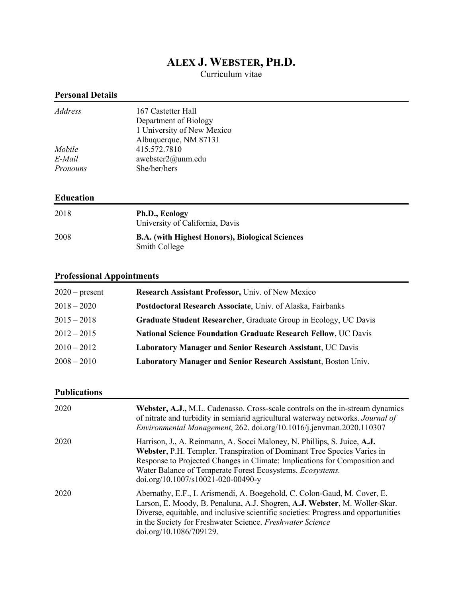# **ALEX J. WEBSTER, PH.D.**

Curriculum vitae

## **Personal Details**

| Address       | 167 Castetter Hall         |
|---------------|----------------------------|
|               | Department of Biology      |
|               | 1 University of New Mexico |
|               | Albuquerque, NM 87131      |
| <i>Mobile</i> | 415.572.7810               |
| E-Mail        | awebster $2@$ unm.edu      |
| Pronouns      | She/her/hers               |
|               |                            |

## **Education**

| 2018 | Ph.D., Ecology<br>University of California, Davis                              |
|------|--------------------------------------------------------------------------------|
| 2008 | <b>B.A.</b> (with Highest Honors), Biological Sciences<br><b>Smith College</b> |

# **Professional Appointments**

| $2020$ – present | Research Assistant Professor, Univ. of New Mexico                     |
|------------------|-----------------------------------------------------------------------|
| $2018 - 2020$    | Postdoctoral Research Associate, Univ. of Alaska, Fairbanks           |
| $2015 - 2018$    | Graduate Student Researcher, Graduate Group in Ecology, UC Davis      |
| $2012 - 2015$    | <b>National Science Foundation Graduate Research Fellow, UC Davis</b> |
| $2010 - 2012$    | <b>Laboratory Manager and Senior Research Assistant, UC Davis</b>     |
| $2008 - 2010$    | <b>Laboratory Manager and Senior Research Assistant, Boston Univ.</b> |

#### **Publications**

| 2020 | Webster, A.J., M.L. Cadenasso. Cross-scale controls on the in-stream dynamics<br>of nitrate and turbidity in semiarid agricultural waterway networks. Journal of<br>Environmental Management, 262. doi.org/10.1016/j.jenvman.2020.110307                                                                                                     |
|------|----------------------------------------------------------------------------------------------------------------------------------------------------------------------------------------------------------------------------------------------------------------------------------------------------------------------------------------------|
| 2020 | Harrison, J., A. Reinmann, A. Socci Maloney, N. Phillips, S. Juice, A.J.<br>Webster, P.H. Templer. Transpiration of Dominant Tree Species Varies in<br>Response to Projected Changes in Climate: Implications for Composition and<br>Water Balance of Temperate Forest Ecosystems. <i>Ecosystems</i> .<br>doi.org/10.1007/s10021-020-00490-y |
| 2020 | Abernathy, E.F., I. Arismendi, A. Boegehold, C. Colon-Gaud, M. Cover, E.<br>Larson, E. Moody, B. Penaluna, A.J. Shogren, A.J. Webster, M. Woller-Skar.<br>Diverse, equitable, and inclusive scientific societies: Progress and opportunities<br>in the Society for Freshwater Science. Freshwater Science<br>doi.org/10.1086/709129.         |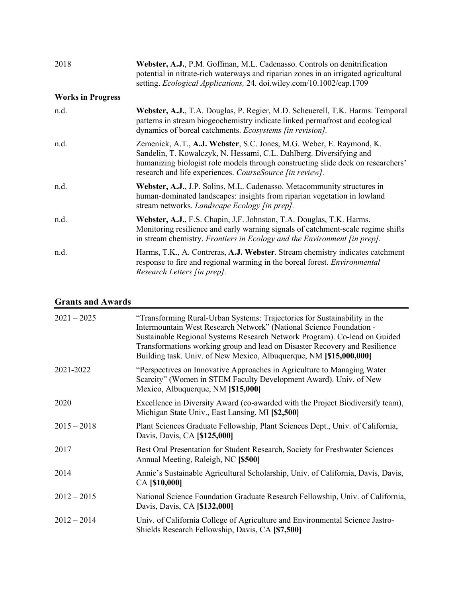| 2018                     | Webster, A.J., P.M. Goffman, M.L. Cadenasso. Controls on denitrification<br>potential in nitrate-rich waterways and riparian zones in an irrigated agricultural<br>setting. Ecological Applications, 24. doi.wiley.com/10.1002/eap.1709 |
|--------------------------|-----------------------------------------------------------------------------------------------------------------------------------------------------------------------------------------------------------------------------------------|
| <b>Works in Progress</b> |                                                                                                                                                                                                                                         |
| n.d.                     | Webster, A.J., T.A. Douglas, P. Regier, M.D. Scheuerell, T.K. Harms. Temporal<br>patterns in stream biogeochemistry indicate linked permafrost and ecological<br>dynamics of boreal catchments. Ecosystems [in revision].               |

- n.d. Zemenick, A.T., **A.J. Webster**, S.C. Jones, M.G. Weber, E. Raymond, K. Sandelin, T. Kowalczyk, N. Hessami, C.L. Dahlberg. Diversifying and humanizing biologist role models through constructing slide deck on researchers' research and life experiences. *CourseSource [in review].* n.d. **Webster, A.J.**, J.P. Solins, M.L. Cadenasso. Metacommunity structures in
	- human-dominated landscapes: insights from riparian vegetation in lowland stream networks. *Landscape Ecology [in prep].*
- n.d. **Webster, A.J.**, F.S. Chapin, J.F. Johnston, T.A. Douglas, T.K. Harms. Monitoring resilience and early warning signals of catchment-scale regime shifts in stream chemistry. *Frontiers in Ecology and the Environment [in prep].*
- n.d. Harms, T.K., A. Contreras, **A.J. Webster**. Stream chemistry indicates catchment response to fire and regional warming in the boreal forest. *Environmental Research Letters [in prep].*

#### **Grants and Awards**

| $2021 - 2025$ | "Transforming Rural-Urban Systems: Trajectories for Sustainability in the<br>Intermountain West Research Network" (National Science Foundation -<br>Sustainable Regional Systems Research Network Program). Co-lead on Guided<br>Transformations working group and lead on Disaster Recovery and Resilience<br>Building task. Univ. of New Mexico, Albuquerque, NM [\$15,000,000] |
|---------------|-----------------------------------------------------------------------------------------------------------------------------------------------------------------------------------------------------------------------------------------------------------------------------------------------------------------------------------------------------------------------------------|
| 2021-2022     | "Perspectives on Innovative Approaches in Agriculture to Managing Water<br>Scarcity" (Women in STEM Faculty Development Award). Univ. of New<br>Mexico, Albuquerque, NM [\$15,000]                                                                                                                                                                                                |
| 2020          | Excellence in Diversity Award (co-awarded with the Project Biodiversify team),<br>Michigan State Univ., East Lansing, MI [\$2,500]                                                                                                                                                                                                                                                |
| $2015 - 2018$ | Plant Sciences Graduate Fellowship, Plant Sciences Dept., Univ. of California,<br>Davis, Davis, CA [\$125,000]                                                                                                                                                                                                                                                                    |
| 2017          | Best Oral Presentation for Student Research, Society for Freshwater Sciences<br>Annual Meeting, Raleigh, NC [\$500]                                                                                                                                                                                                                                                               |
| 2014          | Annie's Sustainable Agricultural Scholarship, Univ. of California, Davis, Davis,<br>CA [\$10,000]                                                                                                                                                                                                                                                                                 |
| $2012 - 2015$ | National Science Foundation Graduate Research Fellowship, Univ. of California,<br>Davis, Davis, CA [\$132,000]                                                                                                                                                                                                                                                                    |
| $2012 - 2014$ | Univ. of California College of Agriculture and Environmental Science Jastro-<br>Shields Research Fellowship, Davis, CA [\$7,500]                                                                                                                                                                                                                                                  |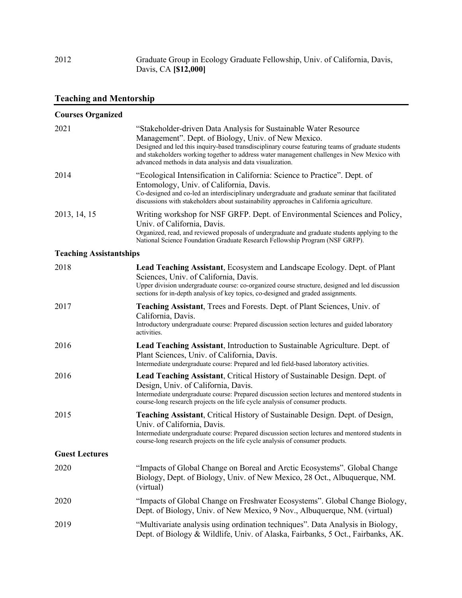2012 Graduate Group in Ecology Graduate Fellowship, Univ. of California, Davis, Davis, CA **[\$12,000]**

# **Teaching and Mentorship**

| <b>Courses Organized</b>       |                                                                                                                                                                                                                                                                                                                                                                                          |
|--------------------------------|------------------------------------------------------------------------------------------------------------------------------------------------------------------------------------------------------------------------------------------------------------------------------------------------------------------------------------------------------------------------------------------|
| 2021                           | "Stakeholder-driven Data Analysis for Sustainable Water Resource<br>Management". Dept. of Biology, Univ. of New Mexico.<br>Designed and led this inquiry-based transdisciplinary course featuring teams of graduate students<br>and stakeholders working together to address water management challenges in New Mexico with<br>advanced methods in data analysis and data visualization. |
| 2014                           | "Ecological Intensification in California: Science to Practice". Dept. of<br>Entomology, Univ. of California, Davis.<br>Co-designed and co-led an interdisciplinary undergraduate and graduate seminar that facilitated<br>discussions with stakeholders about sustainability approaches in California agriculture.                                                                      |
| 2013, 14, 15                   | Writing workshop for NSF GRFP. Dept. of Environmental Sciences and Policy,<br>Univ. of California, Davis.<br>Organized, read, and reviewed proposals of undergraduate and graduate students applying to the<br>National Science Foundation Graduate Research Fellowship Program (NSF GRFP).                                                                                              |
| <b>Teaching Assistantships</b> |                                                                                                                                                                                                                                                                                                                                                                                          |
| 2018                           | Lead Teaching Assistant, Ecosystem and Landscape Ecology. Dept. of Plant<br>Sciences, Univ. of California, Davis.<br>Upper division undergraduate course: co-organized course structure, designed and led discussion<br>sections for in-depth analysis of key topics, co-designed and graded assignments.                                                                                |
| 2017                           | Teaching Assistant, Trees and Forests. Dept. of Plant Sciences, Univ. of<br>California, Davis.<br>Introductory undergraduate course: Prepared discussion section lectures and guided laboratory<br>activities.                                                                                                                                                                           |
| 2016                           | Lead Teaching Assistant, Introduction to Sustainable Agriculture. Dept. of<br>Plant Sciences, Univ. of California, Davis.<br>Intermediate undergraduate course: Prepared and led field-based laboratory activities.                                                                                                                                                                      |
| 2016                           | Lead Teaching Assistant, Critical History of Sustainable Design. Dept. of<br>Design, Univ. of California, Davis.<br>Intermediate undergraduate course: Prepared discussion section lectures and mentored students in<br>course-long research projects on the life cycle analysis of consumer products.                                                                                   |
| 2015                           | Teaching Assistant, Critical History of Sustainable Design. Dept. of Design,<br>Univ. of California, Davis.<br>Intermediate undergraduate course: Prepared discussion section lectures and mentored students in<br>course-long research projects on the life cycle analysis of consumer products.                                                                                        |
| <b>Guest Lectures</b>          |                                                                                                                                                                                                                                                                                                                                                                                          |
| 2020                           | "Impacts of Global Change on Boreal and Arctic Ecosystems". Global Change<br>Biology, Dept. of Biology, Univ. of New Mexico, 28 Oct., Albuquerque, NM.<br>(virtual)                                                                                                                                                                                                                      |
| 2020                           | "Impacts of Global Change on Freshwater Ecosystems". Global Change Biology,<br>Dept. of Biology, Univ. of New Mexico, 9 Nov., Albuquerque, NM. (virtual)                                                                                                                                                                                                                                 |
| 2019                           | "Multivariate analysis using ordination techniques". Data Analysis in Biology,<br>Dept. of Biology & Wildlife, Univ. of Alaska, Fairbanks, 5 Oct., Fairbanks, AK.                                                                                                                                                                                                                        |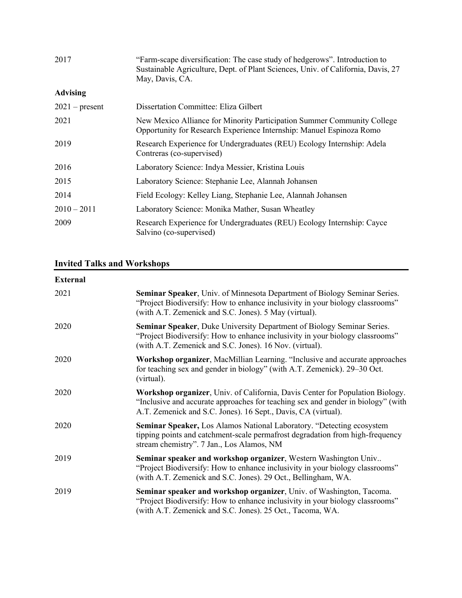| 2017             | "Farm-scape diversification: The case study of hedgerows". Introduction to<br>Sustainable Agriculture, Dept. of Plant Sciences, Univ. of California, Davis, 27<br>May, Davis, CA. |
|------------------|-----------------------------------------------------------------------------------------------------------------------------------------------------------------------------------|
| <b>Advising</b>  |                                                                                                                                                                                   |
| $2021$ – present | Dissertation Committee: Eliza Gilbert                                                                                                                                             |
| 2021             | New Mexico Alliance for Minority Participation Summer Community College<br>Opportunity for Research Experience Internship: Manuel Espinoza Romo                                   |
| 2019             | Research Experience for Undergraduates (REU) Ecology Internship: Adela<br>Contreras (co-supervised)                                                                               |
| 2016             | Laboratory Science: Indya Messier, Kristina Louis                                                                                                                                 |
| 2015             | Laboratory Science: Stephanie Lee, Alannah Johansen                                                                                                                               |
| 2014             | Field Ecology: Kelley Liang, Stephanie Lee, Alannah Johansen                                                                                                                      |
| $2010 - 2011$    | Laboratory Science: Monika Mather, Susan Wheatley                                                                                                                                 |
| 2009             | Research Experience for Undergraduates (REU) Ecology Internship: Cayce<br>Salvino (co-supervised)                                                                                 |

# **Invited Talks and Workshops**

# **External**

| 2021 | <b>Seminar Speaker, Univ. of Minnesota Department of Biology Seminar Series.</b><br>"Project Biodiversify: How to enhance inclusivity in your biology classrooms"<br>(with A.T. Zemenick and S.C. Jones). 5 May (virtual).         |
|------|------------------------------------------------------------------------------------------------------------------------------------------------------------------------------------------------------------------------------------|
| 2020 | Seminar Speaker, Duke University Department of Biology Seminar Series.<br>"Project Biodiversify: How to enhance inclusivity in your biology classrooms"<br>(with A.T. Zemenick and S.C. Jones). 16 Nov. (virtual).                 |
| 2020 | <b>Workshop organizer, MacMillian Learning. "Inclusive and accurate approaches</b><br>for teaching sex and gender in biology" (with A.T. Zemenick). 29–30 Oct.<br>(virtual).                                                       |
| 2020 | Workshop organizer, Univ. of California, Davis Center for Population Biology.<br>"Inclusive and accurate approaches for teaching sex and gender in biology" (with<br>A.T. Zemenick and S.C. Jones). 16 Sept., Davis, CA (virtual). |
| 2020 | Seminar Speaker, Los Alamos National Laboratory. "Detecting ecosystem<br>tipping points and catchment-scale permafrost degradation from high-frequency<br>stream chemistry". 7 Jan., Los Alamos, NM                                |
| 2019 | Seminar speaker and workshop organizer, Western Washington Univ<br>"Project Biodiversify: How to enhance inclusivity in your biology classrooms"<br>(with A.T. Zemenick and S.C. Jones). 29 Oct., Bellingham, WA.                  |
| 2019 | Seminar speaker and workshop organizer, Univ. of Washington, Tacoma.<br>"Project Biodiversify: How to enhance inclusivity in your biology classrooms"<br>(with A.T. Zemenick and S.C. Jones). 25 Oct., Tacoma, WA.                 |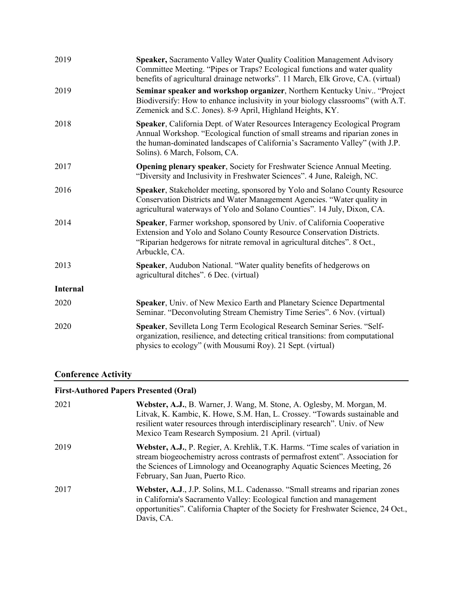| 2019            | Speaker, Sacramento Valley Water Quality Coalition Management Advisory<br>Committee Meeting. "Pipes or Traps? Ecological functions and water quality<br>benefits of agricultural drainage networks". 11 March, Elk Grove, CA. (virtual)                                      |
|-----------------|------------------------------------------------------------------------------------------------------------------------------------------------------------------------------------------------------------------------------------------------------------------------------|
| 2019            | Seminar speaker and workshop organizer, Northern Kentucky Univ "Project<br>Biodiversify: How to enhance inclusivity in your biology classrooms" (with A.T.<br>Zemenick and S.C. Jones). 8-9 April, Highland Heights, KY.                                                     |
| 2018            | Speaker, California Dept. of Water Resources Interagency Ecological Program<br>Annual Workshop. "Ecological function of small streams and riparian zones in<br>the human-dominated landscapes of California's Sacramento Valley" (with J.P.<br>Solins). 6 March, Folsom, CA. |
| 2017            | <b>Opening plenary speaker, Society for Freshwater Science Annual Meeting.</b><br>"Diversity and Inclusivity in Freshwater Sciences". 4 June, Raleigh, NC.                                                                                                                   |
| 2016            | Speaker, Stakeholder meeting, sponsored by Yolo and Solano County Resource<br>Conservation Districts and Water Management Agencies. "Water quality in<br>agricultural waterways of Yolo and Solano Counties". 14 July, Dixon, CA.                                            |
| 2014            | Speaker, Farmer workshop, sponsored by Univ. of California Cooperative<br>Extension and Yolo and Solano County Resource Conservation Districts.<br>"Riparian hedgerows for nitrate removal in agricultural ditches". 8 Oct.,<br>Arbuckle, CA.                                |
| 2013            | Speaker, Audubon National. "Water quality benefits of hedgerows on<br>agricultural ditches". 6 Dec. (virtual)                                                                                                                                                                |
| <b>Internal</b> |                                                                                                                                                                                                                                                                              |
| 2020            | Speaker, Univ. of New Mexico Earth and Planetary Science Departmental<br>Seminar. "Deconvoluting Stream Chemistry Time Series". 6 Nov. (virtual)                                                                                                                             |
| 2020            | Speaker, Sevilleta Long Term Ecological Research Seminar Series. "Self-<br>organization, resilience, and detecting critical transitions: from computational<br>physics to ecology" (with Mousumi Roy). 21 Sept. (virtual)                                                    |
|                 |                                                                                                                                                                                                                                                                              |

# **Conference Activity**

# **First-Authored Papers Presented (Oral)**

| 2021 | Webster, A.J., B. Warner, J. Wang, M. Stone, A. Oglesby, M. Morgan, M.<br>Litvak, K. Kambic, K. Howe, S.M. Han, L. Crossey. "Towards sustainable and<br>resilient water resources through interdisciplinary research". Univ. of New<br>Mexico Team Research Symposium. 21 April. (virtual) |
|------|--------------------------------------------------------------------------------------------------------------------------------------------------------------------------------------------------------------------------------------------------------------------------------------------|
| 2019 | Webster, A.J., P. Regier, A. Krehlik, T.K. Harms. "Time scales of variation in<br>stream biogeochemistry across contrasts of permafrost extent". Association for<br>the Sciences of Limnology and Oceanography Aquatic Sciences Meeting, 26<br>February, San Juan, Puerto Rico.            |
| 2017 | Webster, A.J., J.P. Solins, M.L. Cadenasso. "Small streams and riparian zones"<br>in California's Sacramento Valley: Ecological function and management<br>opportunities". California Chapter of the Society for Freshwater Science, 24 Oct.,<br>Davis, CA.                                |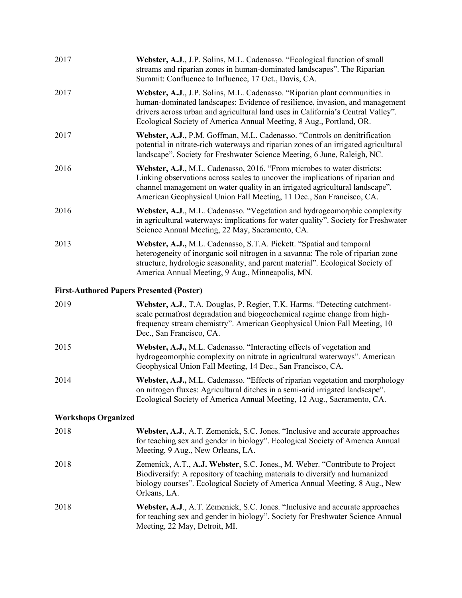| 2017 | Webster, A.J., J.P. Solins, M.L. Cadenasso. "Ecological function of small<br>streams and riparian zones in human-dominated landscapes". The Riparian<br>Summit: Confluence to Influence, 17 Oct., Davis, CA.                                                                                                          |
|------|-----------------------------------------------------------------------------------------------------------------------------------------------------------------------------------------------------------------------------------------------------------------------------------------------------------------------|
| 2017 | Webster, A.J., J.P. Solins, M.L. Cadenasso. "Riparian plant communities in<br>human-dominated landscapes: Evidence of resilience, invasion, and management<br>drivers across urban and agricultural land uses in California's Central Valley".<br>Ecological Society of America Annual Meeting, 8 Aug., Portland, OR. |
| 2017 | Webster, A.J., P.M. Goffman, M.L. Cadenasso. "Controls on denitrification<br>potential in nitrate-rich waterways and riparian zones of an irrigated agricultural<br>landscape". Society for Freshwater Science Meeting, 6 June, Raleigh, NC.                                                                          |
| 2016 | Webster, A.J., M.L. Cadenasso, 2016. "From microbes to water districts:<br>Linking observations across scales to uncover the implications of riparian and<br>channel management on water quality in an irrigated agricultural landscape".<br>American Geophysical Union Fall Meeting, 11 Dec., San Francisco, CA.     |
| 2016 | Webster, A.J., M.L. Cadenasso. "Vegetation and hydrogeomorphic complexity<br>in agricultural waterways: implications for water quality". Society for Freshwater<br>Science Annual Meeting, 22 May, Sacramento, CA.                                                                                                    |
| 2013 | Webster, A.J., M.L. Cadenasso, S.T.A. Pickett. "Spatial and temporal<br>heterogeneity of inorganic soil nitrogen in a savanna: The role of riparian zone<br>structure, hydrologic seasonality, and parent material". Ecological Society of<br>America Annual Meeting, 9 Aug., Minneapolis, MN.                        |

## **First-Authored Papers Presented (Poster)**

| 2019 | Webster, A.J., T.A. Douglas, P. Regier, T.K. Harms. "Detecting catchment-<br>scale permafrost degradation and biogeochemical regime change from high-<br>frequency stream chemistry". American Geophysical Union Fall Meeting, 10<br>Dec., San Francisco, CA. |
|------|---------------------------------------------------------------------------------------------------------------------------------------------------------------------------------------------------------------------------------------------------------------|
| 2015 | Webster, A.J., M.L. Cadenasso. "Interacting effects of vegetation and<br>hydrogeomorphic complexity on nitrate in agricultural waterways". American<br>Geophysical Union Fall Meeting, 14 Dec., San Francisco, CA.                                            |
| 2014 | Webster, A.J., M.L. Cadenasso. "Effects of riparian vegetation and morphology<br>on nitrogen fluxes: Agricultural ditches in a semi-arid irrigated landscape".<br>Ecological Society of America Annual Meeting, 12 Aug., Sacramento, CA.                      |

## **Workshops Organized**

| 2018 | Webster, A.J., A.T. Zemenick, S.C. Jones. "Inclusive and accurate approaches<br>for teaching sex and gender in biology". Ecological Society of America Annual<br>Meeting, 9 Aug., New Orleans, LA.                                                        |
|------|-----------------------------------------------------------------------------------------------------------------------------------------------------------------------------------------------------------------------------------------------------------|
| 2018 | Zemenick, A.T., A.J. Webster, S.C. Jones., M. Weber. "Contribute to Project<br>Biodiversify: A repository of teaching materials to diversify and humanized<br>biology courses". Ecological Society of America Annual Meeting, 8 Aug., New<br>Orleans, LA. |
| 2018 | Webster, A.J., A.T. Zemenick, S.C. Jones. "Inclusive and accurate approaches<br>for teaching sex and gender in biology". Society for Freshwater Science Annual<br>Meeting, 22 May, Detroit, MI.                                                           |